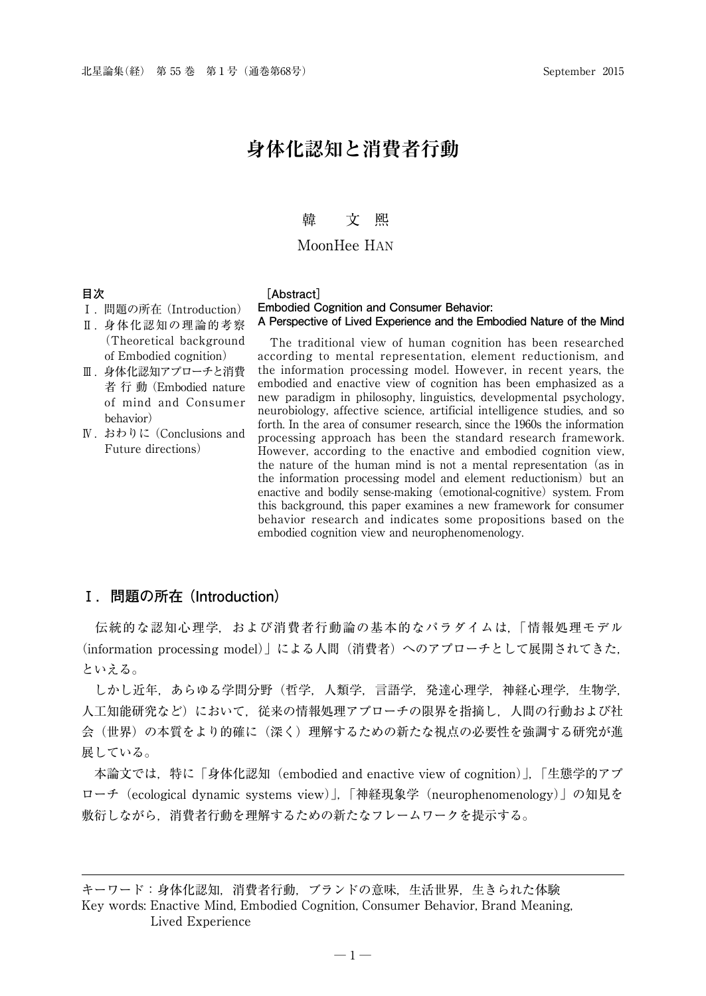## 韓 文 巸

### MoonHee HAN

**Embodied Cognition and Consumer Behavior:**

## **目次**

#### **[Abstract]**

- Ⅰ. 問題の所在 (Introduction)
- Ⅱ. 身体化認知の理論的考察 (Theoretical background of Embodied cognition)
- Ⅲ. 身体化認知アプローチと消費 者 行 動 (Embodied nature of mind and Consumer behavior)
- Ⅳ. おわりに (Conclusions and Future directions)

**A Perspective of Lived Experience and the Embodied Nature of the Mind** The traditional view of human cognition has been researched according to mental representation, element reductionism, and the information processing model. However, in recent years, the

embodied and enactive view of cognition has been emphasized as a new paradigm in philosophy, linguistics, developmental psychology, neurobiology, affective science, artificial intelligence studies, and so forth. In the area of consumer research, since the 1960s the information processing approach has been the standard research framework. However, according to the enactive and embodied cognition view, the nature of the human mind is not a mental representation (as in the information processing model and element reductionism) but an enactive and bodily sense-making (emotional-cognitive) system. From this background, this paper examines a new framework for consumer behavior research and indicates some propositions based on the embodied cognition view and neurophenomenology.

## **Ⅰ.問題の所在 (Introduction)**

 伝統的な認知心理学,および消費者行動論の基本的なパラダイムは,「情報処理モデル (information processing model)」による人間(消費者)へのアプローチとして展開されてきた, といえる。

 しかし近年,あらゆる学問分野(哲学,人類学,言語学,発達心理学,神経心理学,生物学, 人工知能研究など)において,従来の情報処理アプローチの限界を指摘し,人間の行動および社 会(世界)の本質をより的確に(深く)理解するための新たな視点の必要性を強調する研究が進 展している。

 本論文では,特に「身体化認知(embodied and enactive view of cognition)」,「生態学的アプ ローチ(ecological dynamic systems view)」,「神経現象学(neurophenomenology)」の知見を 敷衍しながら,消費者行動を理解するための新たなフレームワークを提示する。

キーワード:身体化認知,消費者行動,ブランドの意味,生活世界,生きられた体験 Key words: Enactive Mind, Embodied Cognition, Consumer Behavior, Brand Meaning, Lived Experience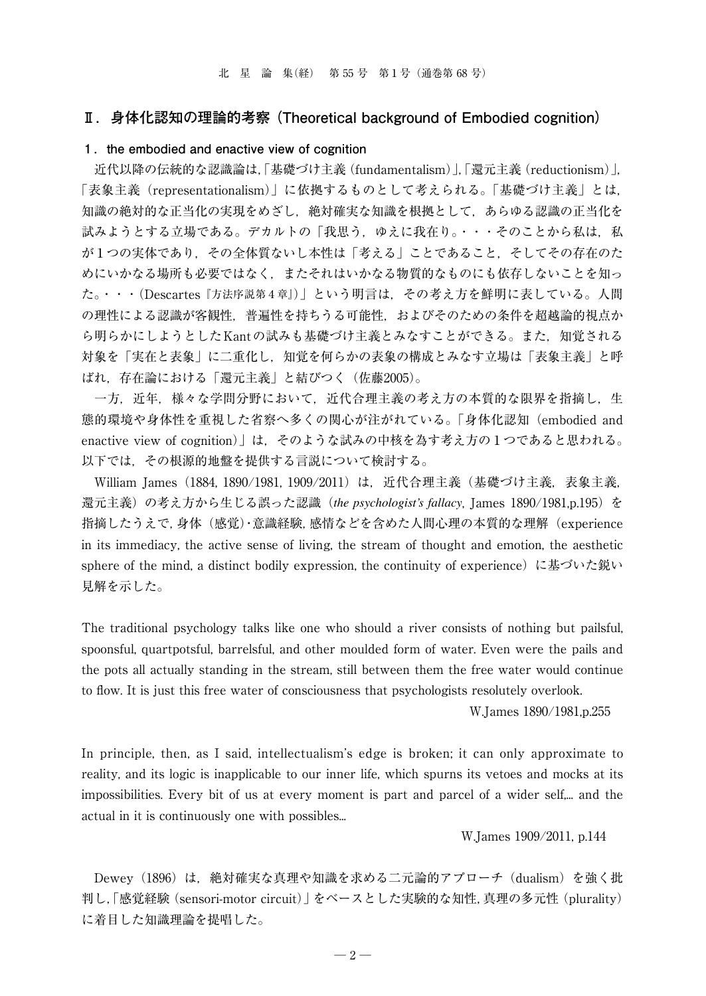## **Ⅱ.身体化認知の理論的考察 (Theoretical background of Embodied cognition)**

## **1.the embodied and enactive view of cognition**

 近代以降の伝統的な認識論は,「基礎づけ主義(fundamentalism)」,「還元主義(reductionism)」, 「表象主義(representationalism)」に依拠するものとして考えられる。「基礎づけ主義」とは, 知識の絶対的な正当化の実現をめざし,絶対確実な知識を根拠として,あらゆる認識の正当化を 試みようとする立場である。デカルトの「我思う,ゆえに我在り。・・・そのことから私は、私 が1つの実体であり,その全体質ないし本性は「考える」ことであること,そしてその存在のた めにいかなる場所も必要ではなく,またそれはいかなる物質的なものにも依存しないことを知っ た。・・・(Descartes『方法序説第4章』)」という明言は,その考え方を鮮明に表している。人間 の理性による認識が客観性,普遍性を持ちうる可能性,およびそのための条件を超越論的視点か ら明らかにしようとしたKantの試みも基礎づけ主義とみなすことができる。また,知覚される 対象を「実在と表象」に二重化し,知覚を何らかの表象の構成とみなす立場は「表象主義」と呼 ばれ,存在論における「還元主義」と結びつく(佐藤2005)。

 一方,近年,様々な学問分野において,近代合理主義の考え方の本質的な限界を指摘し,生 態的環境や身体性を重視した省察へ多くの関心が注がれている。「身体化認知(embodied and enactive view of cognition)」は,そのような試みの中核を為す考え方の1つであると思われる。 以下では,その根源的地盤を提供する言説について検討する。

William James (1884, 1890/1981, 1909/2011)は、近代合理主義(基礎づけ主義,表象主義, 還元主義)の考え方から生じる誤った認識(*the psychologist's fallacy*, James 1890/1981,p.195)を 指摘したうえで,身体(感覚)・意識経験,感情などを含めた人間心理の本質的な理解(experience in its immediacy, the active sense of living, the stream of thought and emotion, the aesthetic sphere of the mind, a distinct bodily expression, the continuity of experience) に基づいた鋭い 見解を示した。

The traditional psychology talks like one who should a river consists of nothing but pailsful, spoonsful, quartpotsful, barrelsful, and other moulded form of water. Even were the pails and the pots all actually standing in the stream, still between them the free water would continue to flow. It is just this free water of consciousness that psychologists resolutely overlook.

W.James 1890/1981,p.255

In principle, then, as I said, intellectualism's edge is broken; it can only approximate to reality, and its logic is inapplicable to our inner life, which spurns its vetoes and mocks at its impossibilities. Every bit of us at every moment is part and parcel of a wider self,... and the actual in it is continuously one with possibles...

W.James 1909/2011, p.144

 Dewey(1896)は,絶対確実な真理や知識を求める二元論的アプローチ (dualism)を強く批 判し,「感覚経験(sensori-motor circuit)」をベースとした実験的な知性,真理の多元性(plurality) に着目した知識理論を提唱した。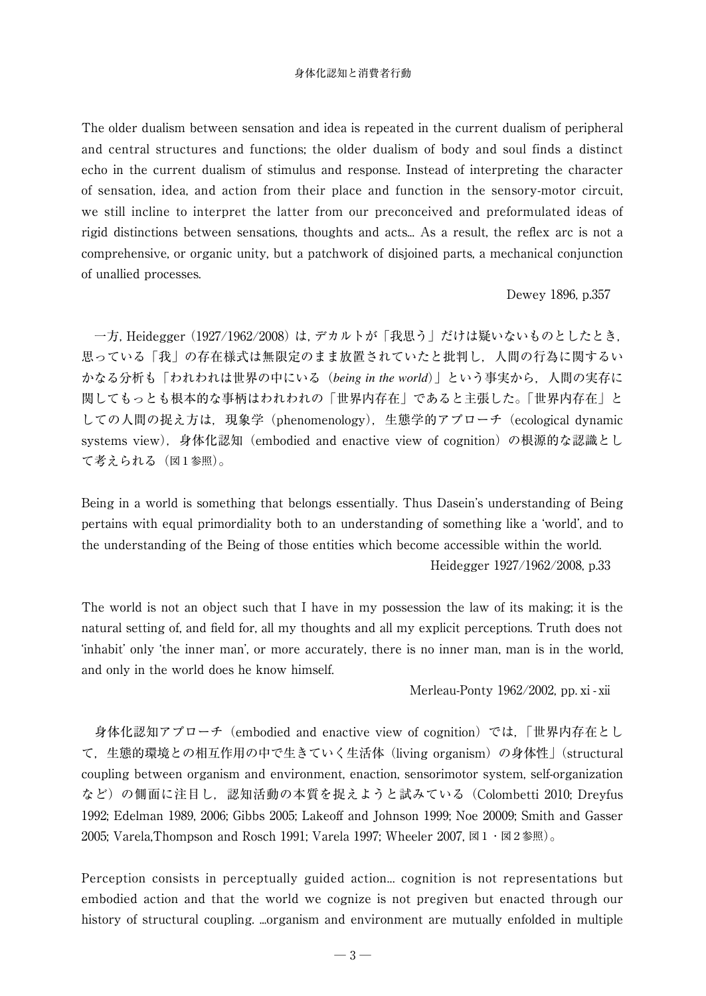The older dualism between sensation and idea is repeated in the current dualism of peripheral and central structures and functions; the older dualism of body and soul finds a distinct echo in the current dualism of stimulus and response. Instead of interpreting the character of sensation, idea, and action from their place and function in the sensory-motor circuit, we still incline to interpret the latter from our preconceived and preformulated ideas of rigid distinctions between sensations, thoughts and acts... As a result, the reflex arc is not a comprehensive, or organic unity, but a patchwork of disjoined parts, a mechanical conjunction of unallied processes.

Dewey 1896, p.357

 一方,Heidegger (1927/1962/2008) は,デカルトが「我思う」だけは疑いないものとしたとき, 思っている「我」の存在様式は無限定のまま放置されていたと批判し,人間の行為に関するい かなる分析も「われわれは世界の中にいる(*being in the world*)」という事実から,人間の実存に 関してもっとも根本的な事柄はわれわれの「世界内存在」であると主張した。「世界内存在」と しての人間の捉え方は、現象学 (phenomenology), 生態学的アプローチ (ecological dynamic systems view), 身体化認知 (embodied and enactive view of cognition) の根源的な認識とし て考えられる(図1参照)。

Being in a world is something that belongs essentially. Thus Dasein's understanding of Being pertains with equal primordiality both to an understanding of something like a 'world', and to the understanding of the Being of those entities which become accessible within the world. Heidegger 1927/1962/2008, p.33

The world is not an object such that I have in my possession the law of its making; it is the natural setting of, and field for, all my thoughts and all my explicit perceptions. Truth does not 'inhabit' only 'the inner man', or more accurately, there is no inner man, man is in the world, and only in the world does he know himself.

Merleau-Ponty 1962/2002, pp. xi - xii

 身体化認知アプローチ(embodied and enactive view of cognition)では,「世界内存在とし て,生態的環境との相互作用の中で生きていく生活体 (living organism)の身体性」 (structural coupling between organism and environment, enaction, sensorimotor system, self-organization など)の側面に注目し,認知活動の本質を捉えようと試みている(Colombetti 2010; Dreyfus 1992; Edelman 1989, 2006; Gibbs 2005; Lakeoff and Johnson 1999; Noe 20009; Smith and Gasser 2005; Varela,Thompson and Rosch 1991; Varela 1997; Wheeler 2007,  $\boxtimes 1 \cdot \boxtimes 2 \textcircled{s} \boxtimes$ ).

Perception consists in perceptually guided action... cognition is not representations but embodied action and that the world we cognize is not pregiven but enacted through our history of structural coupling. ...organism and environment are mutually enfolded in multiple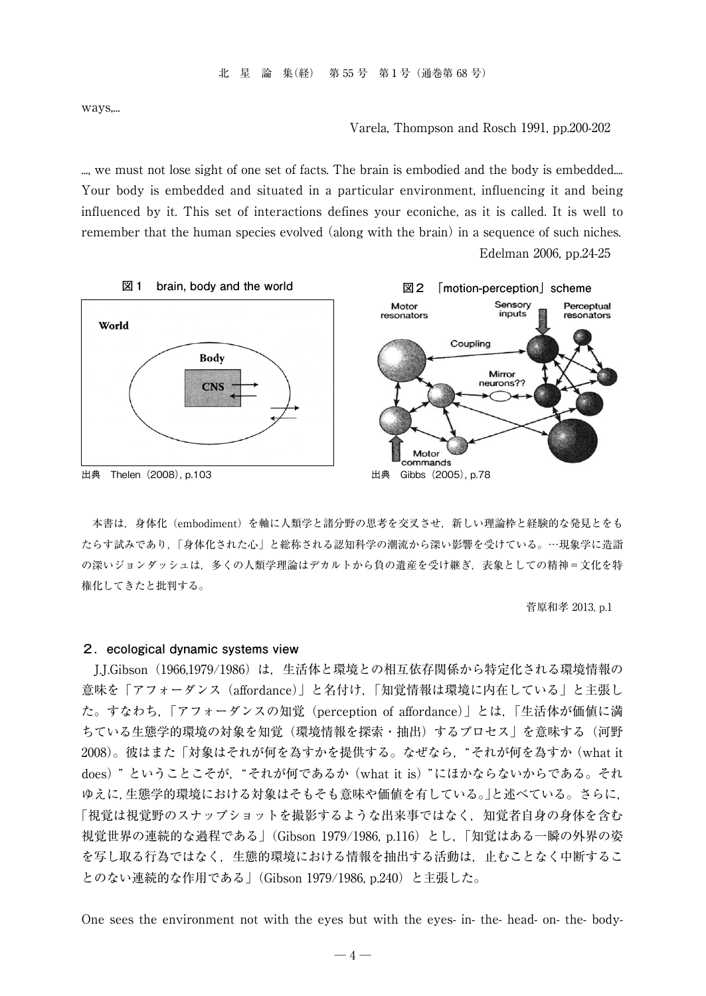ways,...

Varela, Thompson and Rosch 1991, pp.200-202

..., we must not lose sight of one set of facts. The brain is embodied and the body is embedded.... Your body is embedded and situated in a particular environment, influencing it and being influenced by it. This set of interactions defines your econiche, as it is called. It is well to remember that the human species evolved (along with the brain) in a sequence of such niches. Edelman 2006, pp.24-25



 本書は,身体化(embodiment)を軸に人類学と諸分野の思考を交叉させ,新しい理論枠と経験的な発見とをも たらす試みであり,「身体化された心」と総称される認知科学の潮流から深い影響を受けている。…現象学に造詣 の深いジョンダッシュは、多くの人類学理論はデカルトから負の遺産を受け継ぎ、表象としての精神=文化を特 権化してきたと批判する。

菅原和孝 2013, p.1

#### **2.ecological dynamic systems view**

 J.J.Gibson(1966,1979/1986)は,生活体と環境との相互依存関係から特定化される環境情報の 意味を「アフォーダンス (affordance)」と名付け,「知覚情報は環境に内在している」と主張し た。すなわち,「アフォーダンスの知覚(perception of affordance)」とは,「生活体が価値に満 ちている生態学的環境の対象を知覚(環境情報を探索・抽出)するプロセス」を意味する(河野 2008)。彼はまた「対象はそれが何を為すかを提供する。なぜなら,"それが何を為すか (what it does) " ということこそが,"それが何であるか (what it is) "にほかならないからである。それ ゆえに,生態学的環境における対象はそもそも意味や価値を有している。」と述べている。さらに, 「視覚は視覚野のスナップショットを撮影するような出来事ではなく、知覚者自身の身体を含む 視覚世界の連続的な過程である」(Gibson 1979/1986, p.116)とし,「知覚はある一瞬の外界の姿 を写し取る行為ではなく,生態的環境における情報を抽出する活動は,止むことなく中断するこ とのない連続的な作用である」(Gibson 1979/1986, p.240)と主張した。

One sees the environment not with the eyes but with the eyes- in- the- head- on- the- body-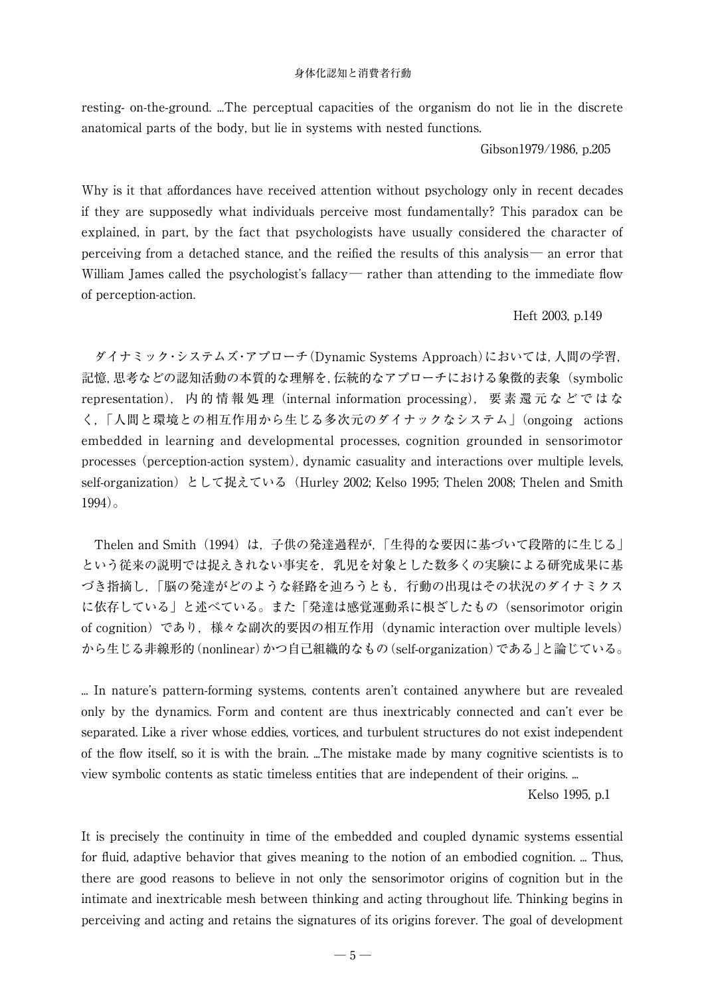resting- on-the-ground. ...The perceptual capacities of the organism do not lie in the discrete anatomical parts of the body, but lie in systems with nested functions.

Gibson1979/1986, p.205

Why is it that affordances have received attention without psychology only in recent decades if they are supposedly what individuals perceive most fundamentally? This paradox can be explained, in part, by the fact that psychologists have usually considered the character of perceiving from a detached stance, and the reified the results of this analysis— an error that William James called the psychologist's fallacy— rather than attending to the immediate flow of perception-action.

## Heft 2003, p.149

 ダイナミック・システムズ・アプローチ(Dynamic Systems Approach)においては,人間の学習, 記憶,思考などの認知活動の本質的な理解を,伝統的なアプローチにおける象徴的表象(symbolic representation), 内 的 情 報 処 理(internal information processing), 要 素 還 元 な ど で は な く,「人間と環境との相互作用から生じる多次元のダイナックなシステム」(ongoing actions embedded in learning and developmental processes, cognition grounded in sensorimotor processes (perception-action system), dynamic casuality and interactions over multiple levels, self-organization)として捉えている(Hurley 2002; Kelso 1995; Thelen 2008; Thelen and Smith 1994)。

Thelen and Smith (1994)は、子供の発達過程が、「生得的な要因に基づいて段階的に生じる」 という従来の説明では捉えきれない事実を,乳児を対象とした数多くの実験による研究成果に基 づき指摘し,「脳の発達がどのような経路を辿ろうとも,行動の出現はその状況のダイナミクス に依存している」と述べている。また「発達は感覚運動系に根ざしたもの (sensorimotor origin of cognition)であり,様々な副次的要因の相互作用(dynamic interaction over multiple levels) から生じる非線形的(nonlinear)かつ自己組織的なもの(self-organization)である」と論じている。

... In nature's pattern-forming systems, contents aren't contained anywhere but are revealed only by the dynamics. Form and content are thus inextricably connected and can't ever be separated. Like a river whose eddies, vortices, and turbulent structures do not exist independent of the flow itself, so it is with the brain. ...The mistake made by many cognitive scientists is to view symbolic contents as static timeless entities that are independent of their origins. ...

Kelso 1995, p.1

It is precisely the continuity in time of the embedded and coupled dynamic systems essential for fluid, adaptive behavior that gives meaning to the notion of an embodied cognition. ... Thus, there are good reasons to believe in not only the sensorimotor origins of cognition but in the intimate and inextricable mesh between thinking and acting throughout life. Thinking begins in perceiving and acting and retains the signatures of its origins forever. The goal of development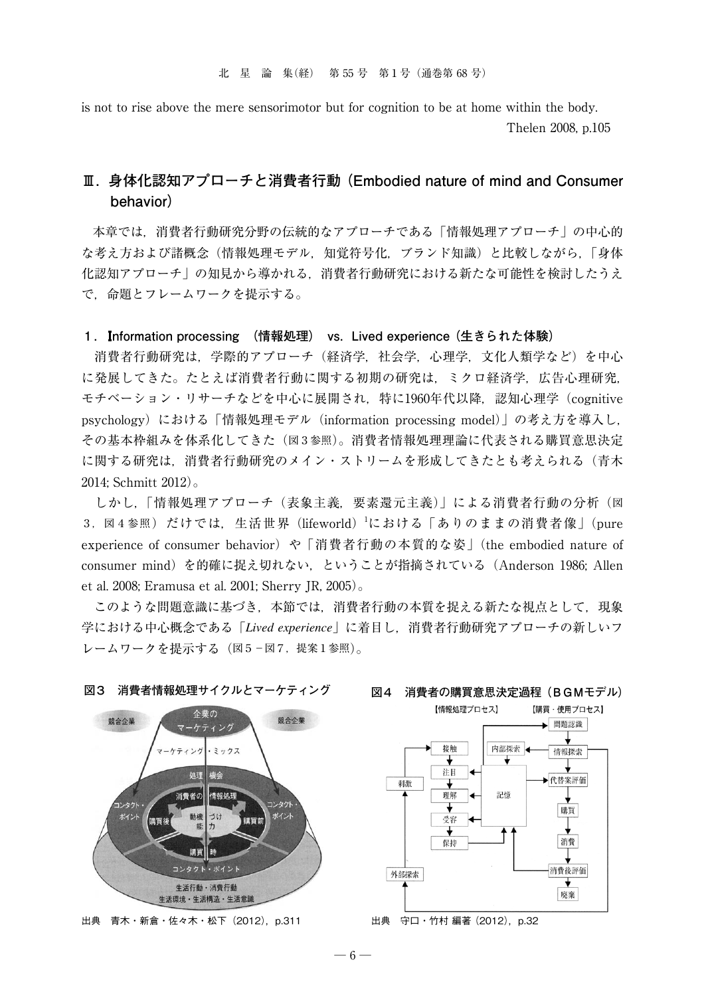is not to rise above the mere sensorimotor but for cognition to be at home within the body. Thelen 2008, p.105

## **Ⅲ.身体化認知アプローチと消費者行動 (Embodied nature of mind and Consumer behavior)**

 本章では,消費者行動研究分野の伝統的なアプローチである「情報処理アプローチ」の中心的 な考え方および諸概念(情報処理モデル,知覚符号化,ブランド知識)と比較しながら,「身体 化認知アプローチ」の知見から導かれる,消費者行動研究における新たな可能性を検討したうえ で,命題とフレームワークを提示する。

#### **1.**I**nformation processing (情報処理) vs. Lived experience (生きられた体験)**

 消費者行動研究は,学際的アプローチ(経済学,社会学,心理学,文化人類学など)を中心 に発展してきた。たとえば消費者行動に関する初期の研究は,ミクロ経済学,広告心理研究, モチベーション・リサーチなどを中心に展開され、特に1960年代以降,認知心理学 (cognitive psychology)における「情報処理モデル(information processing model)」の考え方を導入し, その基本枠組みを体系化してきた(図3参照)。消費者情報処理理論に代表される購買意思決定 に関する研究は,消費者行動研究のメイン・ストリームを形成してきたとも考えられる(青木 2014; Schmitt 2012)。

 しかし,「情報処理アプローチ(表象主義,要素還元主義)」による消費者行動の分析(図 3. 図4参照)だけでは、生活世界 (lifeworld) における「ありのままの消費者像」(pure experience of consumer behavior) や「消費者行動の本質的な姿」(the embodied nature of consumer mind)を的確に捉え切れない,ということが指摘されている(Anderson 1986; Allen et al. 2008; Eramusa et al. 2001; Sherry JR, 2005)。

 このような問題意識に基づき,本節では,消費者行動の本質を捉える新たな視点として,現象 学における中心概念である「*Lived experience*」に着目し,消費者行動研究アプローチの新しいフ レームワークを提示する(図5−図7,提案1参照)。





## **図4 消費者の購買意思決定過程(BGMモデル)**



出典 守口 · 竹村 編著 (2012), p.32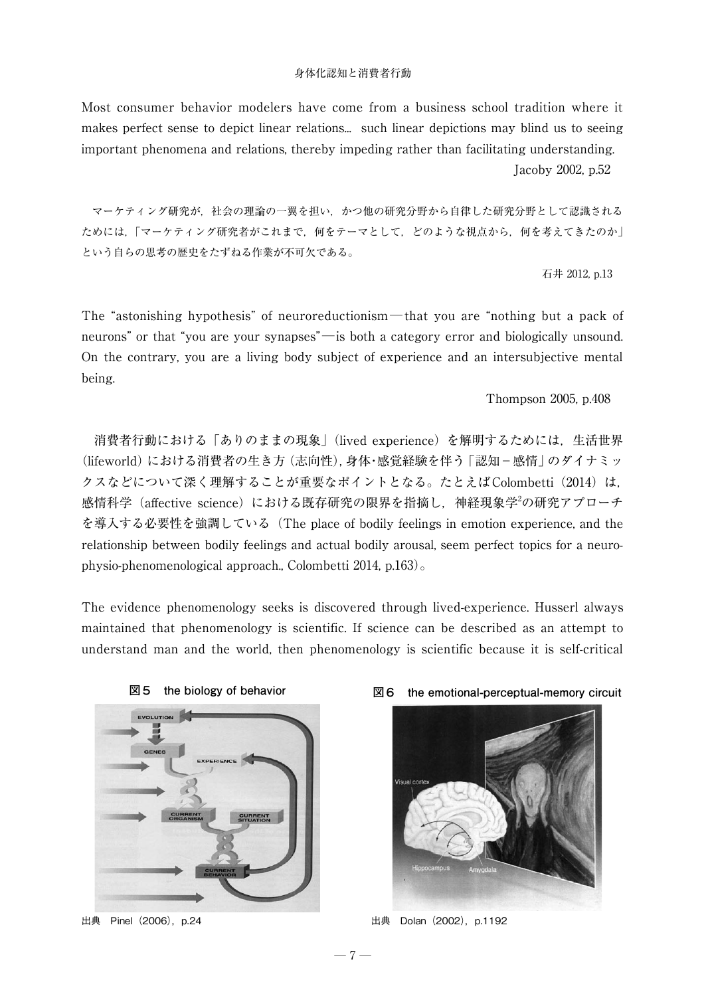Most consumer behavior modelers have come from a business school tradition where it makes perfect sense to depict linear relations... such linear depictions may blind us to seeing important phenomena and relations, thereby impeding rather than facilitating understanding. Jacoby 2002, p.52

 マーケティング研究が,社会の理論の一翼を担い,かつ他の研究分野から自律した研究分野として認識される ためには,「マーケティング研究者がこれまで,何をテーマとして,どのような視点から,何を考えてきたのか」 という自らの思考の歴史をたずねる作業が不可欠である。

石井 2012, p.13

The "astonishing hypothesis" of neuroreductionism—that you are "nothing but a pack of neurons" or that "you are your synapses"—is both a category error and biologically unsound. On the contrary, you are a living body subject of experience and an intersubjective mental being.

Thompson 2005, p.408

消費者行動における「ありのままの現象」(lived experience) を解明するためには、生活世界 (lifeworld)における消費者の生き方(志向性),身体・感覚経験を伴う「認知−感情」のダイナミッ クスなどについて深く理解することが重要なポイントとなる。たとえばColombetti (2014) は, 感情科学(affective science)における既存研究の限界を指摘し,神経現象学<sup>2</sup>の研究アプローチ を導入する必要性を強調している(The place of bodily feelings in emotion experience, and the relationship between bodily feelings and actual bodily arousal, seem perfect topics for a neurophysio-phenomenological approach., Colombetti 2014, p.163)。

The evidence phenomenology seeks is discovered through lived-experience. Husserl always maintained that phenomenology is scientific. If science can be described as an attempt to understand man and the world, then phenomenology is scientific because it is self-critical



出典 Pinel (2006), p.24





**図6 the emotional-perceptual-memory circuit**

出典 Dolan (2002), p.1192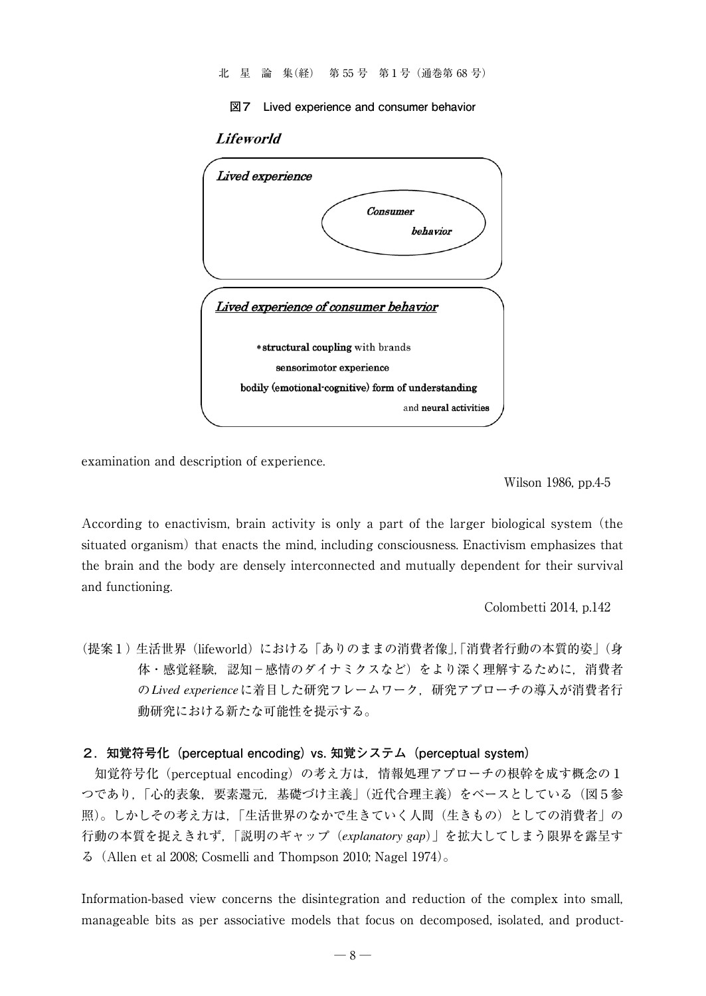北 星 論 集(経) 第 55 号 第1号(通巻第 68 号)

**図7 Lived experience and consumer behavior**

## Lifeworld



examination and description of experience.

Wilson 1986, pp.4-5

According to enactivism, brain activity is only a part of the larger biological system (the situated organism) that enacts the mind, including consciousness. Enactivism emphasizes that the brain and the body are densely interconnected and mutually dependent for their survival and functioning.

Colombetti 2014, p.142

(提案1) 生活世界(lifeworld)における「ありのままの消費者像」,「消費者行動の本質的姿」(身 体・感覚経験, 認知−感情のダイナミクスなど)をより深く理解するために, 消費者 の*Lived experience*に着目した研究フレームワーク,研究アプローチの導入が消費者行 動研究における新たな可能性を提示する。

#### **2.知覚符号化(perceptual encoding) vs. 知覚システム(perceptual system)**

 知覚符号化(perceptual encoding)の考え方は,情報処理アプローチの根幹を成す概念の1 つであり,「心的表象,要素還元,基礎づけ主義」(近代合理主義)をベースとしている(図5参 照)。しかしその考え方は,「生活世界のなかで生きていく人間(生きもの)としての消費者」の 行動の本質を捉えきれず,「説明のギャップ(*explanatory gap*)」を拡大してしまう限界を露呈す る(Allen et al 2008; Cosmelli and Thompson 2010; Nagel 1974)。

Information-based view concerns the disintegration and reduction of the complex into small, manageable bits as per associative models that focus on decomposed, isolated, and product-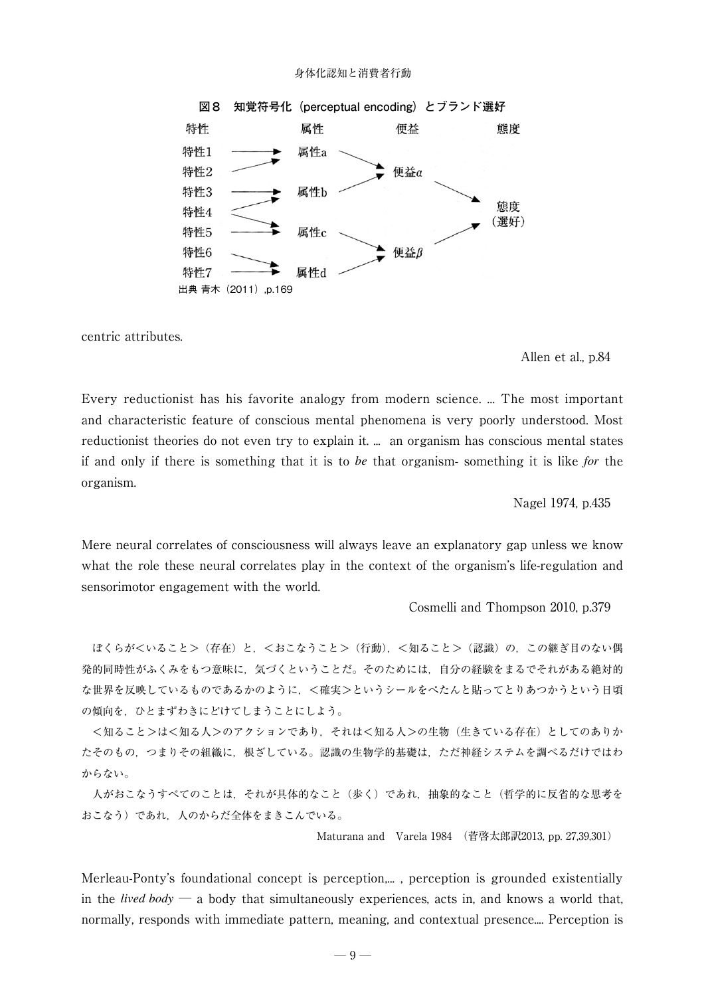

centric attributes.

#### Allen et al., p.84

Every reductionist has his favorite analogy from modern science. ... The most important and characteristic feature of conscious mental phenomena is very poorly understood. Most reductionist theories do not even try to explain it. ... an organism has conscious mental states if and only if there is something that it is to *be* that organism- something it is like *for* the organism.

Nagel 1974, p.435

Mere neural correlates of consciousness will always leave an explanatory gap unless we know what the role these neural correlates play in the context of the organism's life-regulation and sensorimotor engagement with the world.

Cosmelli and Thompson 2010, p.379

ほくらがくいること> (存在) と、<おこなうこと> (行動), <知ること> (認識) の、この継ぎ目のない偶 発的同時性がふくみをもつ意味に,気づくということだ。そのためには,自分の経験をまるでそれがある絶対的 な世界を反映しているものであるかのように、<確実>というシールをぺたんと貼ってとりあつかうという日頃 の傾向を,ひとまずわきにどけてしまうことにしよう。

<知ること>は<知る人>のアクションであり、それは<知る人>の生物(生きている存在)としてのありか たそのもの,つまりその組織に,根ざしている。認識の生物学的基礎は,ただ神経システムを調べるだけではわ からない。

 人がおこなうすべてのことは,それが具体的なこと(歩く)であれ,抽象的なこと(哲学的に反省的な思考を おこなう)であれ,人のからだ全体をまきこんでいる。

Maturana and Varela 1984 (菅啓太郎訳2013, pp. 27,39,301)

Merleau-Ponty's foundational concept is perception,..., perception is grounded existentially in the *lived body* ─ a body that simultaneously experiences, acts in, and knows a world that, normally, responds with immediate pattern, meaning, and contextual presence.... Perception is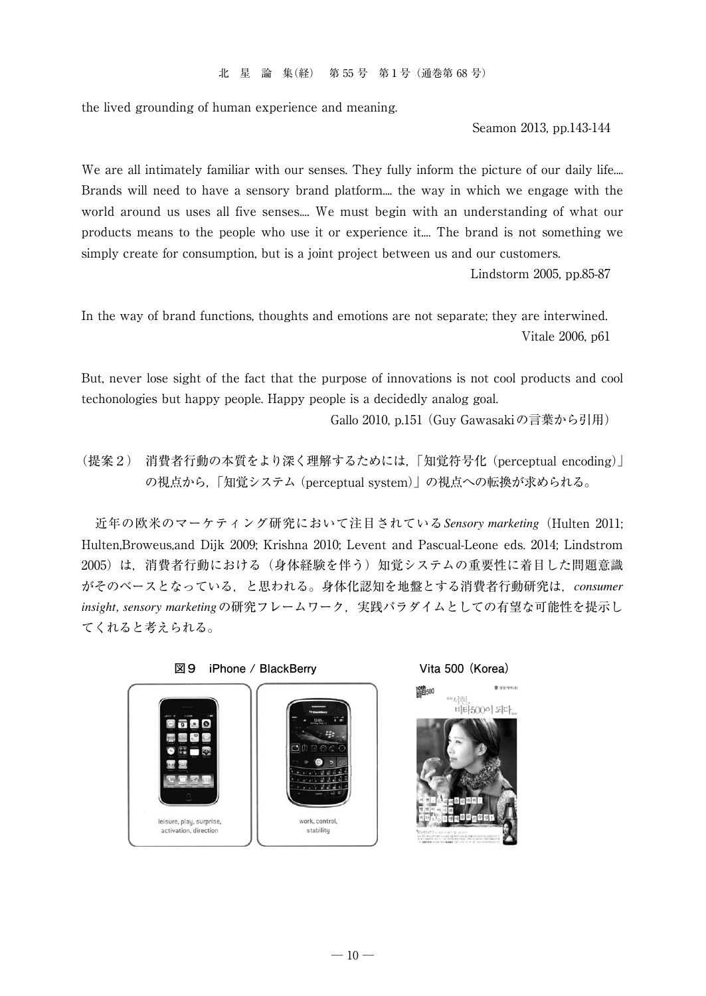the lived grounding of human experience and meaning.

Seamon 2013, pp.143-144

We are all intimately familiar with our senses. They fully inform the picture of our daily life.... Brands will need to have a sensory brand platform.... the way in which we engage with the world around us uses all five senses.... We must begin with an understanding of what our products means to the people who use it or experience it.... The brand is not something we simply create for consumption, but is a joint project between us and our customers.

Lindstorm 2005, pp.85-87

In the way of brand functions, thoughts and emotions are not separate; they are interwined. Vitale 2006, p61

But, never lose sight of the fact that the purpose of innovations is not cool products and cool techonologies but happy people. Happy people is a decidedly analog goal.

Gallo 2010, p.151 (Guy Gawasakiの言葉から引用)

(提案2) 消費者行動の本質をより深く理解するためには,「知覚符号化 (perceptual encoding)」 の視点から,「知覚システム (perceptual system)」の視点への転換が求められる。

 近年の欧米のマーケティング研究において注目されている*Sensory marketing*(Hulten 2011; Hulten,Broweus,and Dijk 2009; Krishna 2010; Levent and Pascual-Leone eds. 2014; Lindstrom 2005)は,消費者行動における(身体経験を伴う)知覚システムの重要性に着目した問題意識 がそのベースとなっている,と思われる。身体化認知を地盤とする消費者行動研究は,*consumer*  insight, sensory marketing の研究フレームワーク,実践パラダイムとしての有望な可能性を提示し てくれると考えられる。

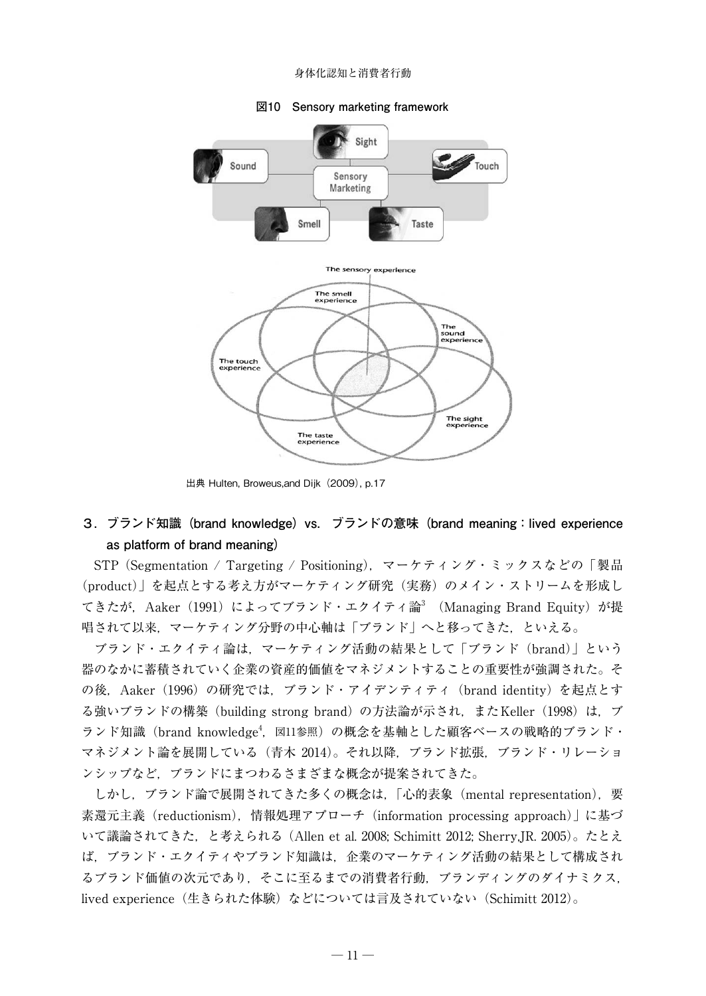

#### **図10 Sensory marketing framework**

出典 Hulten, Broweus,and Dijk(2009), p.17

## **3.ブランド知識(brand knowledge)vs. ブランドの意味(brand meaning:lived experience as platform of brand meaning)**

 STP (Segmentation / Targeting / Positioning),マーケティング・ミックスなどの「製品 (product)」を起点とする考え方がマーケティング研究(実務)のメイン・ストリームを形成し てきたが,Aaker(1991)によってブランド・エクイティ論<sup>3</sup> (Managing Brand Equity)が提 唱されて以来,マーケティング分野の中心軸は「ブランド」へと移ってきた,といえる。

 ブランド・エクイティ論は,マーケティング活動の結果として「ブランド(brand)」という 器のなかに蓄積されていく企業の資産的価値をマネジメントすることの重要性が強調された。そ の後. Aaker (1996) の研究では、ブランド・アイデンティティ (brand identity) を起点とす る強いブランドの構築 (building strong brand) の方法論が示され,またKeller (1998)は,ブ ランド知識 (brand knowledge<sup>4</sup>, 図11参照) の概念を基軸とした顧客ベースの戦略的ブランド・ マネジメント論を展開している(青木 2014)。それ以降,ブランド拡張,ブランド・リレーショ ンシップなど,ブランドにまつわるさまざまな概念が提案されてきた。

 しかし,ブランド論で展開されてきた多くの概念は,「心的表象(mental representation),要 素還元主義 (reductionism), 情報処理アプローチ (information processing approach)」に基づ いて議論されてきた,と考えられる (Allen et al. 2008; Schimitt 2012; Sherry,JR. 2005)。たとえ ば,ブランド・エクイティやブランド知識は,企業のマーケティング活動の結果として構成され るブランド価値の次元であり,そこに至るまでの消費者行動,ブランディングのダイナミクス, lived experience(生きられた体験)などについては言及されていない(Schimitt 2012)。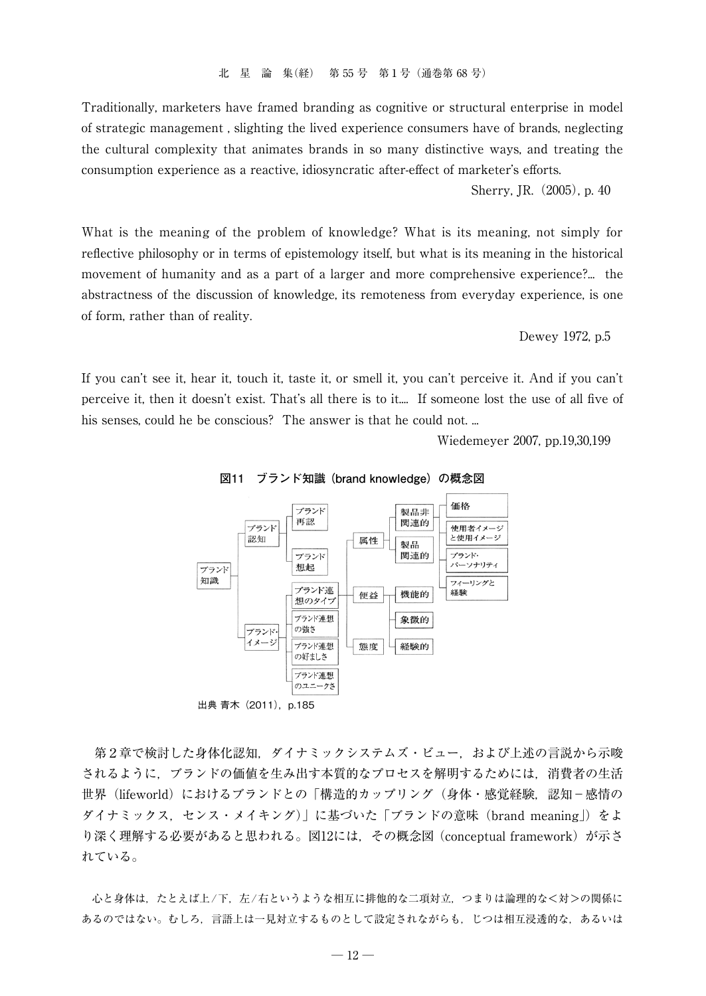Traditionally, marketers have framed branding as cognitive or structural enterprise in model of strategic management , slighting the lived experience consumers have of brands, neglecting the cultural complexity that animates brands in so many distinctive ways, and treating the consumption experience as a reactive, idiosyncratic after-effect of marketer's efforts.

Sherry, IR. (2005), p. 40

What is the meaning of the problem of knowledge? What is its meaning, not simply for reflective philosophy or in terms of epistemology itself, but what is its meaning in the historical movement of humanity and as a part of a larger and more comprehensive experience?... the abstractness of the discussion of knowledge, its remoteness from everyday experience, is one of form, rather than of reality.

Dewey 1972, p.5

If you can't see it, hear it, touch it, taste it, or smell it, you can't perceive it. And if you can't perceive it, then it doesn't exist. That's all there is to it.... If someone lost the use of all five of his senses, could he be conscious? The answer is that he could not. ...

Wiedemeyer 2007, pp.19,30,199



**図11 ブランド知識 (brand knowledge)の概念図**

出典 青木 (2011), p.185

 第2章で検討した身体化認知,ダイナミックシステムズ・ビュー,および上述の言説から示唆 されるように,ブランドの価値を生み出す本質的なプロセスを解明するためには,消費者の生活 世界 (lifeworld) におけるブランドとの「構造的カップリング (身体・感覚経験, 認知−感情の ダイナミックス,センス・メイキング)」に基づいた「ブランドの意味(brand meaning」)をよ り深く理解する必要があると思われる。図12には、その概念図 (conceptual framework) が示さ れている。

 心と身体は,たとえば上/下,左/右というような相互に排他的な二項対立,つまりは論理的な<対>の関係に あるのではない。むしろ,言語上は一見対立するものとして設定されながらも,じつは相互浸透的な,あるいは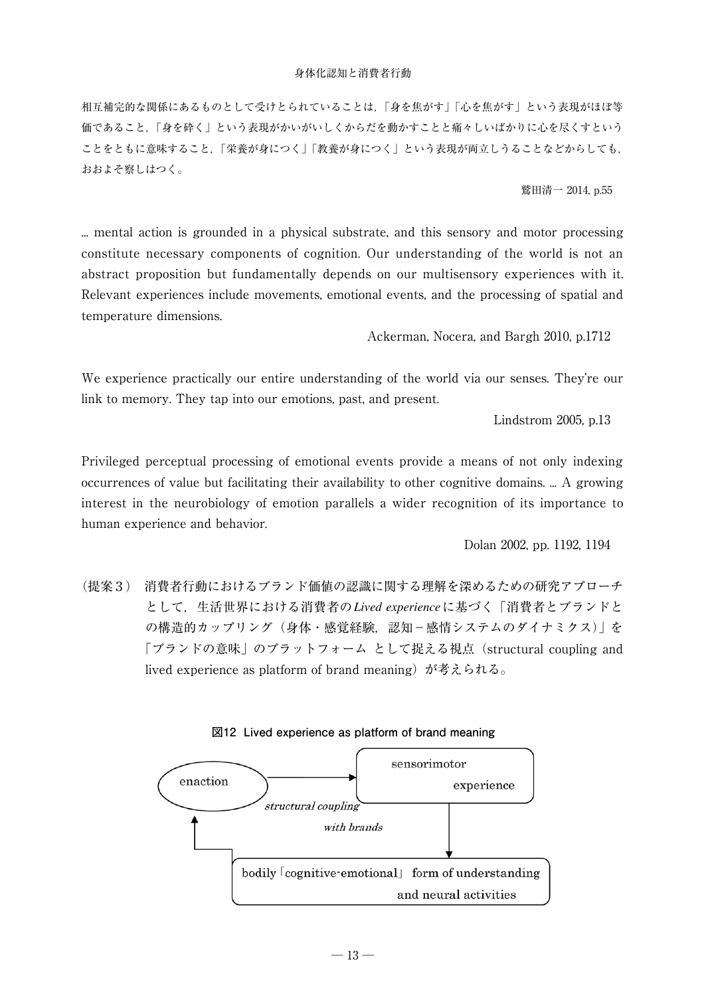相互補完的な関係にあるものとして受けとられていることは,「身を焦がす」「心を焦がす」という表現がほぼ等 価であること,「身を砕く」という表現がかいがいしくからだを動かすことと痛々しいばかりに心を尽くすという ことをともに意味すること,「栄養が身につく」「教養が身につく」という表現が両立しうることなどからしても, おおよそ察しはつく。

鷲田清一 2014, p.55

... mental action is grounded in a physical substrate, and this sensory and motor processing constitute necessary components of cognition. Our understanding of the world is not an abstract proposition but fundamentally depends on our multisensory experiences with it. Relevant experiences include movements, emotional events, and the processing of spatial and temperature dimensions.

Ackerman, Nocera, and Bargh 2010, p.1712

We experience practically our entire understanding of the world via our senses. They're our link to memory. They tap into our emotions, past, and present.

Lindstrom 2005, p.13

Privileged perceptual processing of emotional events provide a means of not only indexing occurrences of value but facilitating their availability to other cognitive domains. ... A growing interest in the neurobiology of emotion parallels a wider recognition of its importance to human experience and behavior.

Dolan 2002, pp. 1192, 1194

(提案3) 消費者行動におけるブランド価値の認識に関する理解を深めるための研究アプローチ として,生活世界における消費者の*Lived experience*に基づく「消費者とブランドと の構造的カップリング(身体・感覚経験, 認知−感情システムのダイナミクス)」を 「ブランドの意味」のプラットフォーム として捉える視点(structural coupling and lived experience as platform of brand meaning)が考えられる。



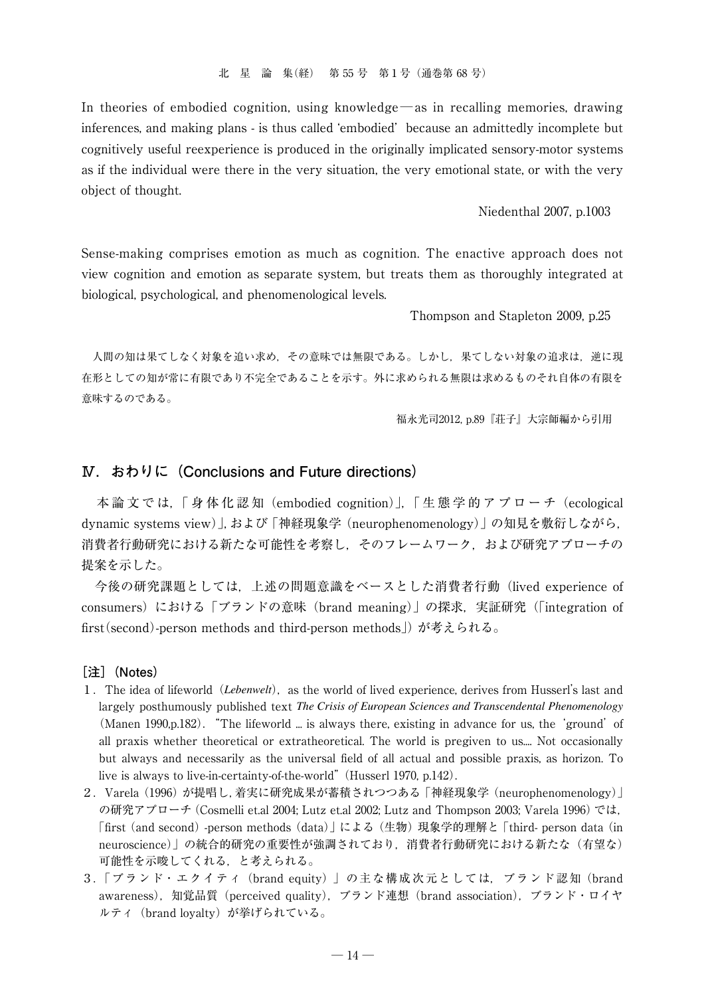In theories of embodied cognition, using knowledge—as in recalling memories, drawing inferences, and making plans - is thus called 'embodied' because an admittedly incomplete but cognitively useful reexperience is produced in the originally implicated sensory-motor systems as if the individual were there in the very situation, the very emotional state, or with the very object of thought.

Niedenthal 2007, p.1003

Sense-making comprises emotion as much as cognition. The enactive approach does not view cognition and emotion as separate system, but treats them as thoroughly integrated at biological, psychological, and phenomenological levels.

Thompson and Stapleton 2009, p.25

 人間の知は果てしなく対象を追い求め,その意味では無限である。しかし,果てしない対象の追求は,逆に現 在形としての知が常に有限であり不完全であることを示す。外に求められる無限は求めるものそれ自体の有限を 意味するのである。

福永光司2012, p.89『荘子』大宗師編から引用

## **Ⅳ.おわりに(Conclusions and Future directions)**

 本 論 文 で は,「 身 体 化 認 知(embodied cognition)」,「 生 態 学 的 ア プ ロ ー チ(ecological dynamic systems view)」,および「神経現象学(neurophenomenology)」の知見を敷衍しながら, 消費者行動研究における新たな可能性を考察し、そのフレームワーク、および研究アプローチの 提案を示した。

 今後の研究課題としては,上述の問題意識をベースとした消費者行動(lived experience of consumers) における「ブランドの意味 (brand meaning)」の探求, 実証研究 (「integration of first(second)-person methods and third-person methods」) が考えられる。

#### **[注](Notes)**

- 1. The idea of lifeworld (*Lebenwelt*), as the world of lived experience, derives from Husserl's last and largely posthumously published text *The Crisis of European Sciences and Transcendental Phenomenology* (Manen 1990, p.182). "The lifeworld ... is always there, existing in advance for us, the 'ground' of all praxis whether theoretical or extratheoretical. The world is pregiven to us.... Not occasionally but always and necessarily as the universal field of all actual and possible praxis, as horizon. To live is always to live-in-certainty-of-the-world" (Husserl 1970, p.142).
- 2.Varela(1996)が提唱し,着実に研究成果が蓄積されつつある「神経現象学(neurophenomenology)」 の研究アプローチ(Cosmelli et.al 2004; Lutz et.al 2002; Lutz and Thompson 2003; Varela 1996)では, 「first (and second)-person methods(data)」による(生物)現象学的理解と「third- person data(in neuroscience)」の統合的研究の重要性が強調されており、消費者行動研究における新たな(有望な) 可能性を示唆してくれる,と考えられる。
- 3.「ブランド・エクイティ(brand equity) 」の主な構成次元としては,ブランド認知 (brand awareness), 知覚品質 (perceived quality), ブランド連想 (brand association), ブランド・ロイヤ ルティ (brand loyalty) が挙げられている。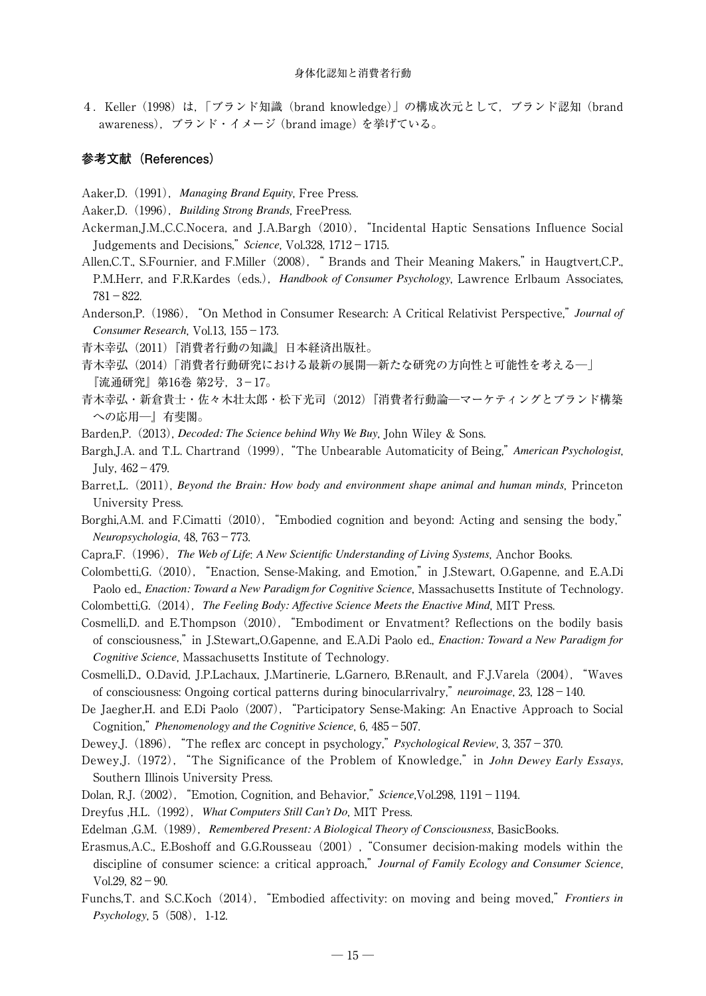4.Keller (1998)は,「ブランド知識(brand knowledge)」の構成次元として,ブランド認知 (brand awareness),ブランド・イメージ (brand image) を挙げている。

## **参考文献(References)**

Aaker,D.(1991),*Managing Brand Equity*, Free Press.

- Aaker,D.(1996),*Building Strong Brands*, FreePress.
- Ackerman,J.M.,C.C.Nocera, and J.A.Bargh(2010),"Incidental Haptic Sensations Influence Social Judgements and Decisions," *Science*, Vol.328, 1712−1715.
- Allen, C.T., S.Fournier, and F.Miller (2008), " Brands and Their Meaning Makers," in Haugtvert, C.P., P.M.Herr, and F.R.Kardes(eds.),*Handbook of Consumer Psychology*, Lawrence Erlbaum Associates, 781−822.
- Anderson,P.(1986),"On Method in Consumer Research: A Critical Relativist Perspective," *Journal of Consumer Research*, Vol.13, 155−173.
- 青木幸弘(2011)『消費者行動の知識』日本経済出版社。
- 青木幸弘(2014)「消費者行動研究における最新の展開─新たな研究の方向性と可能性を考える─」 『流通研究』第16巻 第2号,3−17。
- 青木幸弘・新倉貴士・佐々木壮太郎・松下光司(2012)『消費者行動論─マーケティングとブランド構築 への応用─』有斐閣。
- Barden,P.(2013), *Decoded: The Science behind Why We Buy*, John Wiley & Sons.
- Bargh,J.A. and T.L. Chartrand(1999),"The Unbearable Automaticity of Being," *American Psychologist*, July, 462−479.
- Barret,L.(2011), *Beyond the Brain: How body and environment shape animal and human minds*, Princeton University Press.
- Borghi,A.M. and F.Cimatti (2010), "Embodied cognition and beyond: Acting and sensing the body," *Neuropsychologia*, 48, 763−773.
- Capra,F.(1996),*The Web of Life*: *A New Scientific Understanding of Living Systems*, Anchor Books.
- Colombetti,G.(2010),"Enaction, Sense-Making, and Emotion," in J.Stewart, O.Gapenne, and E.A.Di Paolo ed., *Enaction: Toward a New Paradigm for Cognitive Science*, Massachusetts Institute of Technology.
- Colombetti,G.(2014),*The Feeling Body: Affective Science Meets the Enactive Mind*, MIT Press.
- Cosmelli,D. and E.Thompson(2010),"Embodiment or Envatment? Reflections on the bodily basis of consciousness," in J.Stewart,,O.Gapenne, and E.A.Di Paolo ed., *Enaction: Toward a New Paradigm for Cognitive Science*, Massachusetts Institute of Technology.
- Cosmelli,D., O.David, J.P.Lachaux, J.Martinerie, L.Garnero, B.Renault, and F.J.Varela(2004),"Waves of consciousness: Ongoing cortical patterns during binocularrivalry," *neuroimage*, 23, 128−140.
- De Jaegher,H. and E.Di Paolo(2007),"Participatory Sense-Making: An Enactive Approach to Social Cognition," *Phenomenology and the Cognitive Science*, 6, 485−507.
- Dewey,J.(1896),"The reflex arc concept in psychology," *Psychological Review*, 3, 357−370.
- Dewey,J.(1972),"The Significance of the Problem of Knowledge," in *John Dewey Early Essays*, Southern Illinois University Press.
- Dolan, R.J. (2002),"Emotion, Cognition, and Behavior," *Science*,Vol.298, 1191−1194.
- Dreyfus ,H.L.(1992),*What Computers Still Can't Do*, MIT Press.
- Edelman ,G.M.(1989),*Remembered Present: A Biological Theory of Consciousness*, BasicBooks.
- Erasmus,A.C., E.Boshoff and G.G.Rousseau (2001), "Consumer decision-making models within the discipline of consumer science: a critical approach," *Journal of Family Ecology and Consumer Science*, Vol.29, 82−90.
- Funchs, T. and S.C.Koch (2014), "Embodied affectivity: on moving and being moved," *Frontiers in Psychology*, 5 (508), 1-12.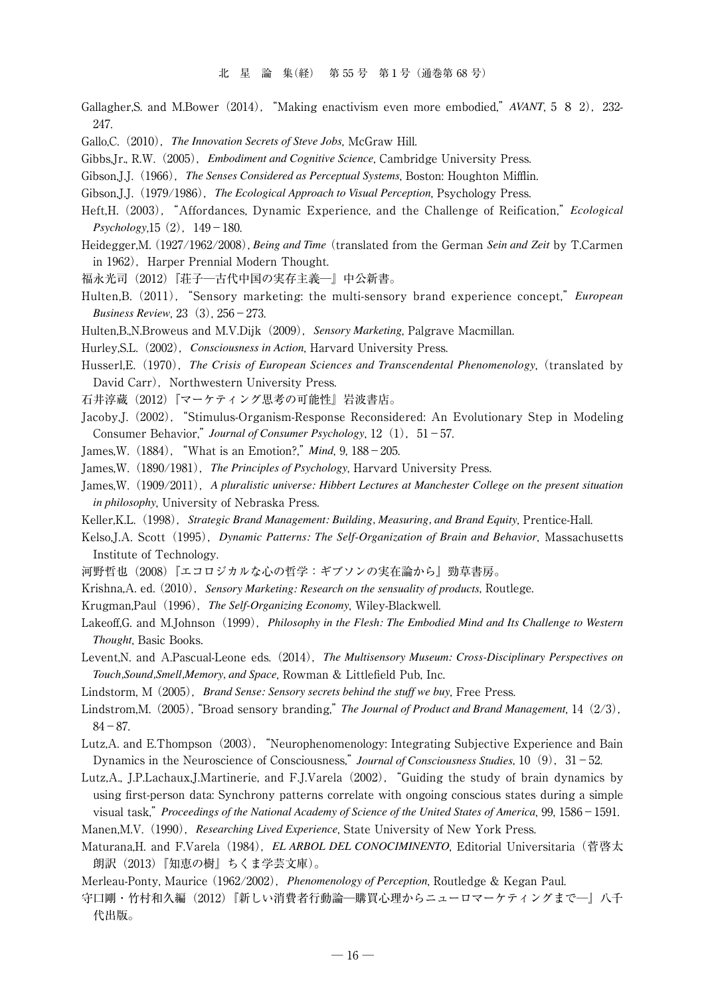- Gallagher,S. and M.Bower (2014), "Making enactivism even more embodied," *AVANT*, 5 8 2), 232-247.
- Gallo,C.(2010),*The Innovation Secrets of Steve Jobs*, McGraw Hill.
- Gibbs,Jr., R.W.(2005),*Embodiment and Cognitive Science*, Cambridge University Press.
- Gibson,J.J.(1966),*The Senses Considered as Perceptual Systems*, Boston: Houghton Mifflin.
- Gibson,J.J.(1979/1986),*The Ecological Approach to Visual Perception*, Psychology Press.
- Heft,H. (2003),"Affordances, Dynamic Experience, and the Challenge of Reification," *Ecological Psychology*,15 (2), 149−180.
- Heidegger,M.(1927/1962/2008),*Being and Time* (translated from the German *Sein and Zeit* by T.Carmen in 1962), Harper Prennial Modern Thought.
- 福永光司(2012)『荘子─古代中国の実存主義─』中公新書。
- Hulten,B.(2011),"Sensory marketing: the multi-sensory brand experience concept," *European Business Review*, 23(3), 256−273.
- Hulten.B.<sub>N.Broweus and M.V.Dijk<sup>(2009)</sup>, Sensory Marketing, Palgrave Macmillan.</sub>
- Hurley,S.L.(2002),*Consciousness in Action*, Harvard University Press.
- Husserl,E.(1970),*The Crisis of European Sciences and Transcendental Phenomenology*, (translated by David Carr), Northwestern University Press.
- 石井淳蔵(2012)『マーケティング思考の可能性』岩波書店。
- Jacoby,J.(2002),"Stimulus-Organism-Response Reconsidered: An Evolutionary Step in Modeling Consumer Behavior," *Journal of Consumer Psychology*, 12(1),51−57.
- James,W.(1884),"What is an Emotion?," *Mind*, 9, 188−205.
- James,W.(1890/1981),*The Principles of Psychology*, Harvard University Press.
- James,W.(1909/2011),*A pluralistic universe: Hibbert Lectures at Manchester College on the present situation in philosophy*, University of Nebraska Press.
- Keller,K.L.(1998),*Strategic Brand Management: Building, Measuring, and Brand Equity*, Prentice-Hall.
- Kelso,J.A. Scott (1995), *Dynamic Patterns: The Self-Organization of Brain and Behavior*, Massachusetts Institute of Technology.
- 河野哲也(2008)『エコロジカルな心の哲学:ギブソンの実在論から』勁草書房。
- Krishna,A. ed. (2010),*Sensory Marketing: Research on the sensuality of products*, Routlege.
- Krugman,Paul(1996),*The Self-Organizing Economy*, Wiley-Blackwell.
- Lakeoff,G. and M.Johnson (1999), *Philosophy in the Flesh: The Embodied Mind and Its Challenge to Western Thought*, Basic Books.
- Levent,N. and A.Pascual-Leone eds.(2014),*The Multisensory Museum: Cross-Disciplinary Perspectives on Touch,Sound,Smell,Memory, and Space*, Rowman & Littlefield Pub, Inc.
- Lindstorm, M (2005),*Brand Sense: Sensory secrets behind the stuff we buy*, Free Press.
- Lindstrom,M. (2005), "Broad sensory branding," *The Journal of Product and Brand Management*, 14 (2/3), 84−87.
- Lutz,A. and E.Thompson (2003), "Neurophenomenology: Integrating Subjective Experience and Bain Dynamics in the Neuroscience of Consciousness," *Journal of Consciousness Studies*, 10(9),31−52.
- Lutz,A., J.P.Lachaux,J.Martinerie, and F.J.Varela(2002),"Guiding the study of brain dynamics by using first-person data: Synchrony patterns correlate with ongoing conscious states during a simple visual task," *Proceedings of the National Academy of Science of the United States of America*, 99, 1586−1591.
- Manen,M.V.(1990),*Researching Lived Experience*, State University of New York Press.
- Maturana,H. and F.Varela (1984), *EL ARBOL DEL CONOCIMINENTO*, Editorial Universitaria (菅啓太 朗訳(2013)『知恵の樹』ちくま学芸文庫)。
- Merleau-Ponty, Maurice (1962/2002),*Phenomenology of Perception*, Routledge & Kegan Paul.
- 守口剛・竹村和久編(2012)『新しい消費者行動論─購買心理からニューロマーケティングまで─』八千 代出版。